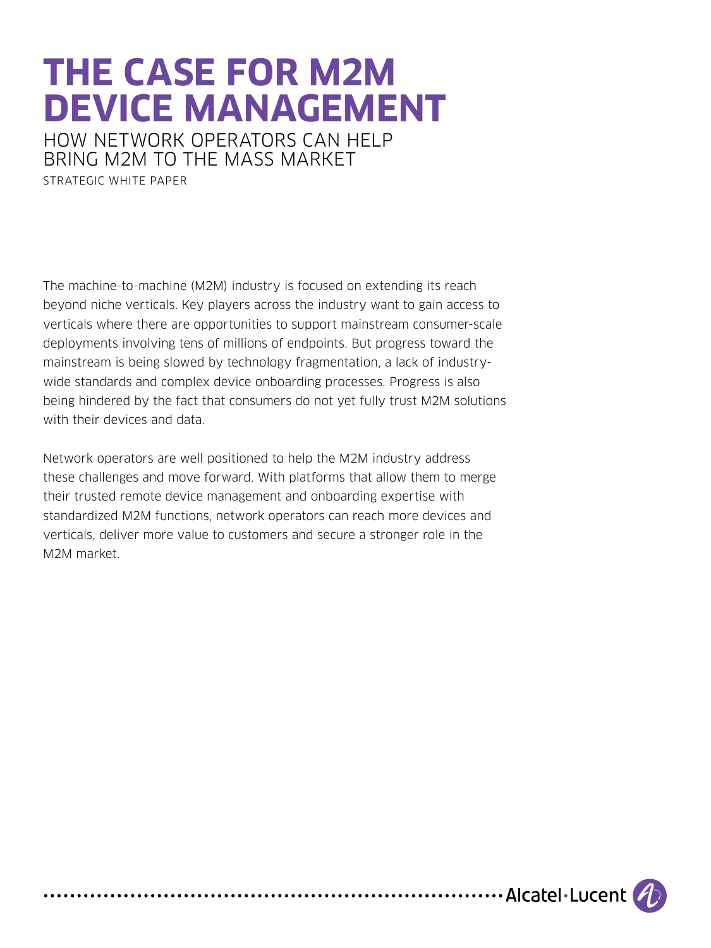# **THE CASE FOR M2M DEVICE MANAGEMENT**

HOW NETWORK OPERATORS CAN HELP BRING M2M TO THE MASS MARKET

STRATEGIC WHITE PAPER

The machine-to-machine (M2M) industry is focused on extending its reach beyond niche verticals. Key players across the industry want to gain access to verticals where there are opportunities to support mainstream consumer-scale deployments involving tens of millions of endpoints. But progress toward the mainstream is being slowed by technology fragmentation, a lack of industrywide standards and complex device onboarding processes. Progress is also being hindered by the fact that consumers do not yet fully trust M2M solutions with their devices and data.

Network operators are well positioned to help the M2M industry address these challenges and move forward. With platforms that allow them to merge their trusted remote device management and onboarding expertise with standardized M2M functions, network operators can reach more devices and verticals, deliver more value to customers and secure a stronger role in the M2M market.

.......................Alcatel·Lucent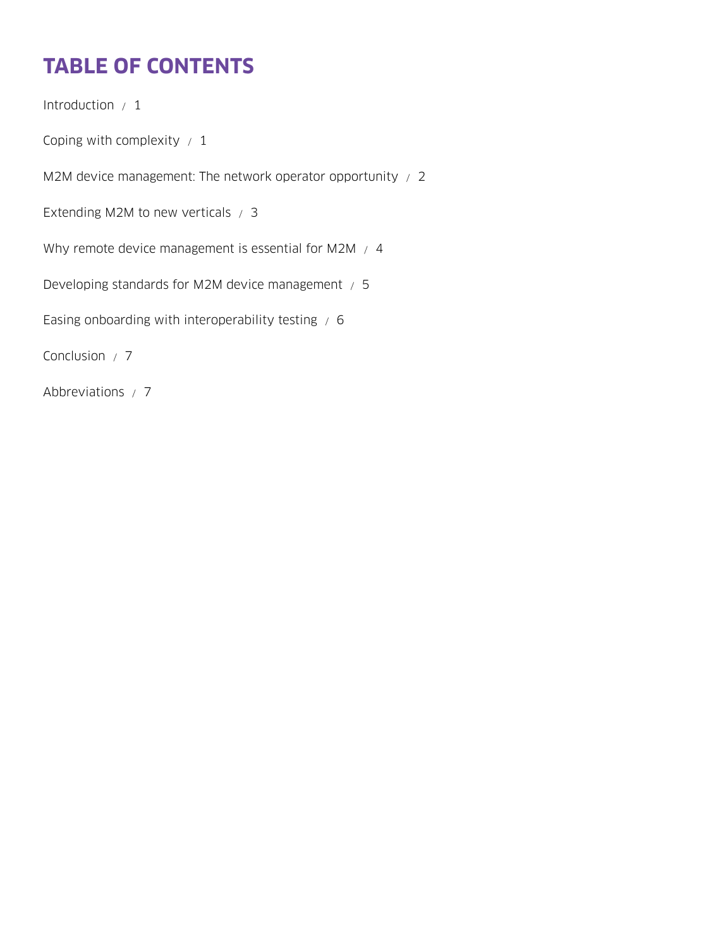# **TABLE OF CONTENTS**

[Introduction / 1](#page-2-0) Coping with complexity  $/1$ [M2M device management: The network operator opportunity / 2](#page-3-0) [Extending M2M to new verticals / 3](#page-4-0) [Why remote device management is essential for M2M / 4](#page-5-0) [Developing standards for M2M device management / 5](#page-6-0) Easing onboarding with interoperability testing  $/ 6$ [Conclusion / 7](#page-8-0) [Abbreviations / 7](#page-8-0)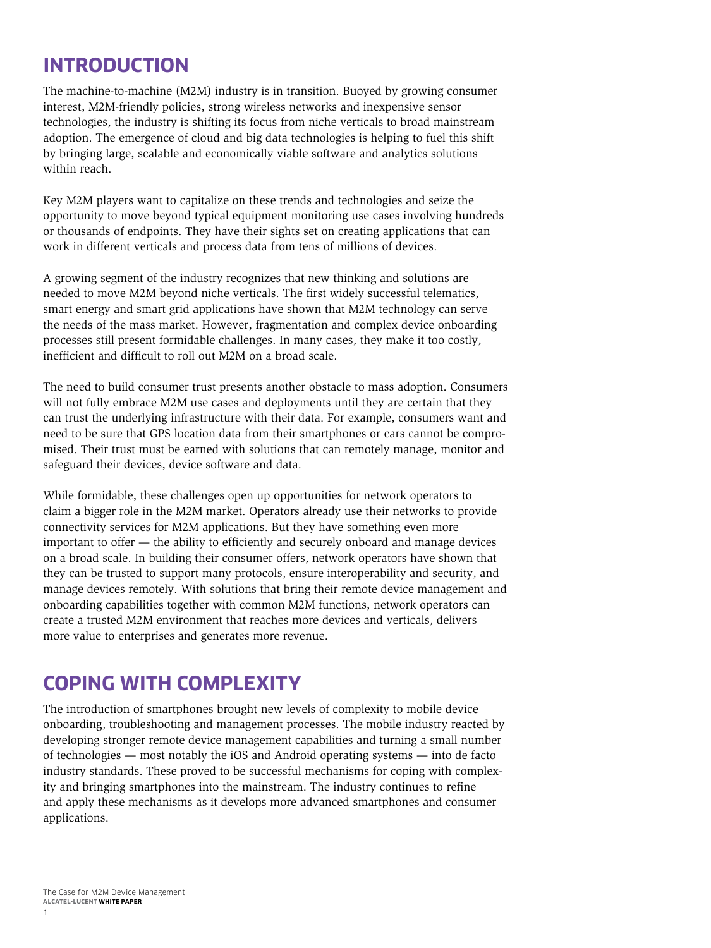## <span id="page-2-0"></span>**INTRODUCTION**

The machine-to-machine (M2M) industry is in transition. Buoyed by growing consumer interest, M2M-friendly policies, strong wireless networks and inexpensive sensor technologies, the industry is shifting its focus from niche verticals to broad mainstream adoption. The emergence of cloud and big data technologies is helping to fuel this shift by bringing large, scalable and economically viable software and analytics solutions within reach.

Key M2M players want to capitalize on these trends and technologies and seize the opportunity to move beyond typical equipment monitoring use cases involving hundreds or thousands of endpoints. They have their sights set on creating applications that can work in different verticals and process data from tens of millions of devices.

A growing segment of the industry recognizes that new thinking and solutions are needed to move M2M beyond niche verticals. The first widely successful telematics, smart energy and smart grid applications have shown that M2M technology can serve the needs of the mass market. However, fragmentation and complex device onboarding processes still present formidable challenges. In many cases, they make it too costly, inefficient and difficult to roll out M2M on a broad scale.

The need to build consumer trust presents another obstacle to mass adoption. Consumers will not fully embrace M2M use cases and deployments until they are certain that they can trust the underlying infrastructure with their data. For example, consumers want and need to be sure that GPS location data from their smartphones or cars cannot be compromised. Their trust must be earned with solutions that can remotely manage, monitor and safeguard their devices, device software and data.

While formidable, these challenges open up opportunities for network operators to claim a bigger role in the M2M market. Operators already use their networks to provide connectivity services for M2M applications. But they have something even more important to offer — the ability to efficiently and securely onboard and manage devices on a broad scale. In building their consumer offers, network operators have shown that they can be trusted to support many protocols, ensure interoperability and security, and manage devices remotely. With solutions that bring their remote device management and onboarding capabilities together with common M2M functions, network operators can create a trusted M2M environment that reaches more devices and verticals, delivers more value to enterprises and generates more revenue.

#### **COPING WITH COMPLEXITY**

The introduction of smartphones brought new levels of complexity to mobile device onboarding, troubleshooting and management processes. The mobile industry reacted by developing stronger remote device management capabilities and turning a small number of technologies — most notably the iOS and Android operating systems — into de facto industry standards. These proved to be successful mechanisms for coping with complexity and bringing smartphones into the mainstream. The industry continues to refine and apply these mechanisms as it develops more advanced smartphones and consumer applications.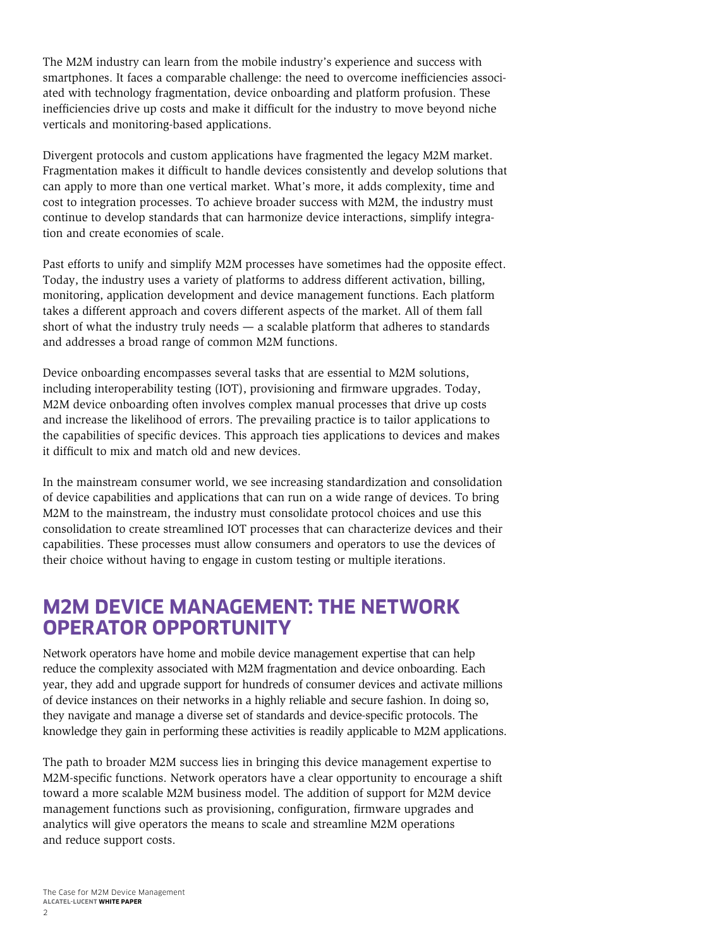<span id="page-3-0"></span>The M2M industry can learn from the mobile industry's experience and success with smartphones. It faces a comparable challenge: the need to overcome inefficiencies associated with technology fragmentation, device onboarding and platform profusion. These inefficiencies drive up costs and make it difficult for the industry to move beyond niche verticals and monitoring-based applications.

Divergent protocols and custom applications have fragmented the legacy M2M market. Fragmentation makes it difficult to handle devices consistently and develop solutions that can apply to more than one vertical market. What's more, it adds complexity, time and cost to integration processes. To achieve broader success with M2M, the industry must continue to develop standards that can harmonize device interactions, simplify integration and create economies of scale.

Past efforts to unify and simplify M2M processes have sometimes had the opposite effect. Today, the industry uses a variety of platforms to address different activation, billing, monitoring, application development and device management functions. Each platform takes a different approach and covers different aspects of the market. All of them fall short of what the industry truly needs — a scalable platform that adheres to standards and addresses a broad range of common M2M functions.

Device onboarding encompasses several tasks that are essential to M2M solutions, including interoperability testing (IOT), provisioning and firmware upgrades. Today, M2M device onboarding often involves complex manual processes that drive up costs and increase the likelihood of errors. The prevailing practice is to tailor applications to the capabilities of specific devices. This approach ties applications to devices and makes it difficult to mix and match old and new devices.

In the mainstream consumer world, we see increasing standardization and consolidation of device capabilities and applications that can run on a wide range of devices. To bring M2M to the mainstream, the industry must consolidate protocol choices and use this consolidation to create streamlined IOT processes that can characterize devices and their capabilities. These processes must allow consumers and operators to use the devices of their choice without having to engage in custom testing or multiple iterations.

#### **M2M DEVICE MANAGEMENT: THE NETWORK OPERATOR OPPORTUNITY**

Network operators have home and mobile device management expertise that can help reduce the complexity associated with M2M fragmentation and device onboarding. Each year, they add and upgrade support for hundreds of consumer devices and activate millions of device instances on their networks in a highly reliable and secure fashion. In doing so, they navigate and manage a diverse set of standards and device-specific protocols. The knowledge they gain in performing these activities is readily applicable to M2M applications.

The path to broader M2M success lies in bringing this device management expertise to M2M-specific functions. Network operators have a clear opportunity to encourage a shift toward a more scalable M2M business model. The addition of support for M2M device management functions such as provisioning, configuration, firmware upgrades and analytics will give operators the means to scale and streamline M2M operations and reduce support costs.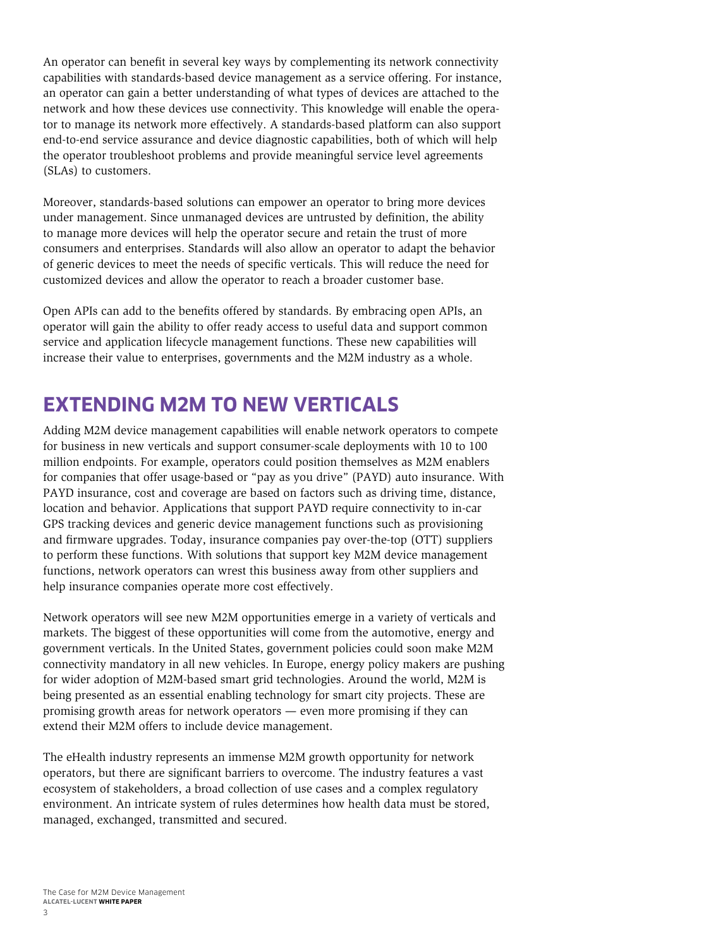<span id="page-4-0"></span>An operator can benefit in several key ways by complementing its network connectivity capabilities with standards-based device management as a service offering. For instance, an operator can gain a better understanding of what types of devices are attached to the network and how these devices use connectivity. This knowledge will enable the operator to manage its network more effectively. A standards-based platform can also support end-to-end service assurance and device diagnostic capabilities, both of which will help the operator troubleshoot problems and provide meaningful service level agreements (SLAs) to customers.

Moreover, standards-based solutions can empower an operator to bring more devices under management. Since unmanaged devices are untrusted by definition, the ability to manage more devices will help the operator secure and retain the trust of more consumers and enterprises. Standards will also allow an operator to adapt the behavior of generic devices to meet the needs of specific verticals. This will reduce the need for customized devices and allow the operator to reach a broader customer base.

Open APIs can add to the benefits offered by standards. By embracing open APIs, an operator will gain the ability to offer ready access to useful data and support common service and application lifecycle management functions. These new capabilities will increase their value to enterprises, governments and the M2M industry as a whole.

## **EXTENDING M2M TO NEW VERTICALS**

Adding M2M device management capabilities will enable network operators to compete for business in new verticals and support consumer-scale deployments with 10 to 100 million endpoints. For example, operators could position themselves as M2M enablers for companies that offer usage-based or "pay as you drive" (PAYD) auto insurance. With PAYD insurance, cost and coverage are based on factors such as driving time, distance, location and behavior. Applications that support PAYD require connectivity to in-car GPS tracking devices and generic device management functions such as provisioning and firmware upgrades. Today, insurance companies pay over-the-top (OTT) suppliers to perform these functions. With solutions that support key M2M device management functions, network operators can wrest this business away from other suppliers and help insurance companies operate more cost effectively.

Network operators will see new M2M opportunities emerge in a variety of verticals and markets. The biggest of these opportunities will come from the automotive, energy and government verticals. In the United States, government policies could soon make M2M connectivity mandatory in all new vehicles. In Europe, energy policy makers are pushing for wider adoption of M2M-based smart grid technologies. Around the world, M2M is being presented as an essential enabling technology for smart city projects. These are promising growth areas for network operators — even more promising if they can extend their M2M offers to include device management.

The eHealth industry represents an immense M2M growth opportunity for network operators, but there are significant barriers to overcome. The industry features a vast ecosystem of stakeholders, a broad collection of use cases and a complex regulatory environment. An intricate system of rules determines how health data must be stored, managed, exchanged, transmitted and secured.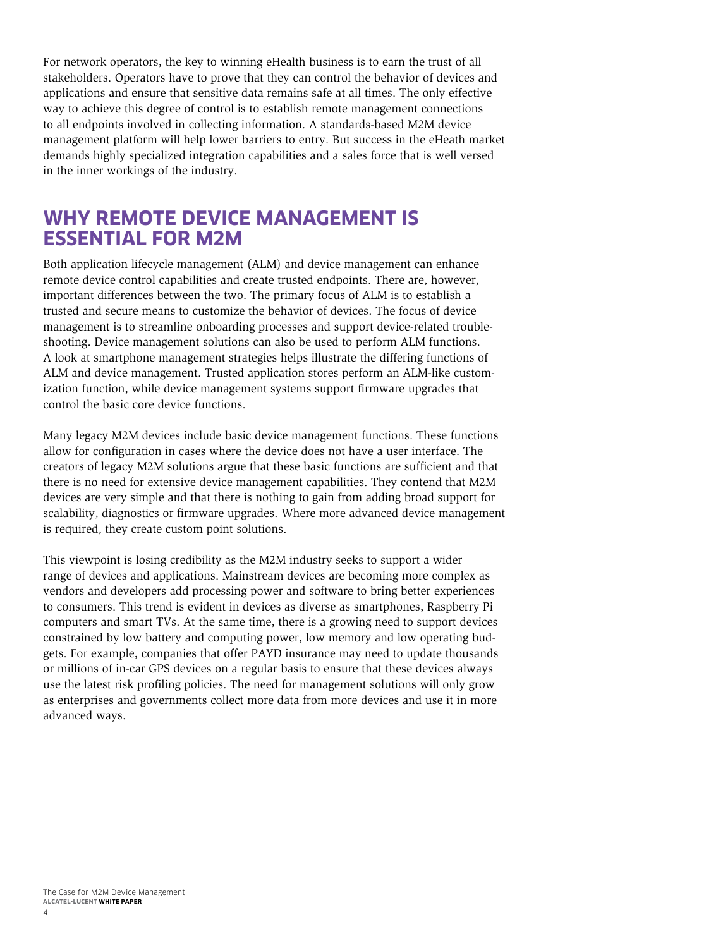<span id="page-5-0"></span>For network operators, the key to winning eHealth business is to earn the trust of all stakeholders. Operators have to prove that they can control the behavior of devices and applications and ensure that sensitive data remains safe at all times. The only effective way to achieve this degree of control is to establish remote management connections to all endpoints involved in collecting information. A standards-based M2M device management platform will help lower barriers to entry. But success in the eHeath market demands highly specialized integration capabilities and a sales force that is well versed in the inner workings of the industry.

#### **WHY REMOTE DEVICE MANAGEMENT IS ESSENTIAL FOR M2M**

Both application lifecycle management (ALM) and device management can enhance remote device control capabilities and create trusted endpoints. There are, however, important differences between the two. The primary focus of ALM is to establish a trusted and secure means to customize the behavior of devices. The focus of device management is to streamline onboarding processes and support device-related troubleshooting. Device management solutions can also be used to perform ALM functions. A look at smartphone management strategies helps illustrate the differing functions of ALM and device management. Trusted application stores perform an ALM-like customization function, while device management systems support firmware upgrades that control the basic core device functions.

Many legacy M2M devices include basic device management functions. These functions allow for configuration in cases where the device does not have a user interface. The creators of legacy M2M solutions argue that these basic functions are sufficient and that there is no need for extensive device management capabilities. They contend that M2M devices are very simple and that there is nothing to gain from adding broad support for scalability, diagnostics or firmware upgrades. Where more advanced device management is required, they create custom point solutions.

This viewpoint is losing credibility as the M2M industry seeks to support a wider range of devices and applications. Mainstream devices are becoming more complex as vendors and developers add processing power and software to bring better experiences to consumers. This trend is evident in devices as diverse as smartphones, Raspberry Pi computers and smart TVs. At the same time, there is a growing need to support devices constrained by low battery and computing power, low memory and low operating budgets. For example, companies that offer PAYD insurance may need to update thousands or millions of in-car GPS devices on a regular basis to ensure that these devices always use the latest risk profiling policies. The need for management solutions will only grow as enterprises and governments collect more data from more devices and use it in more advanced ways.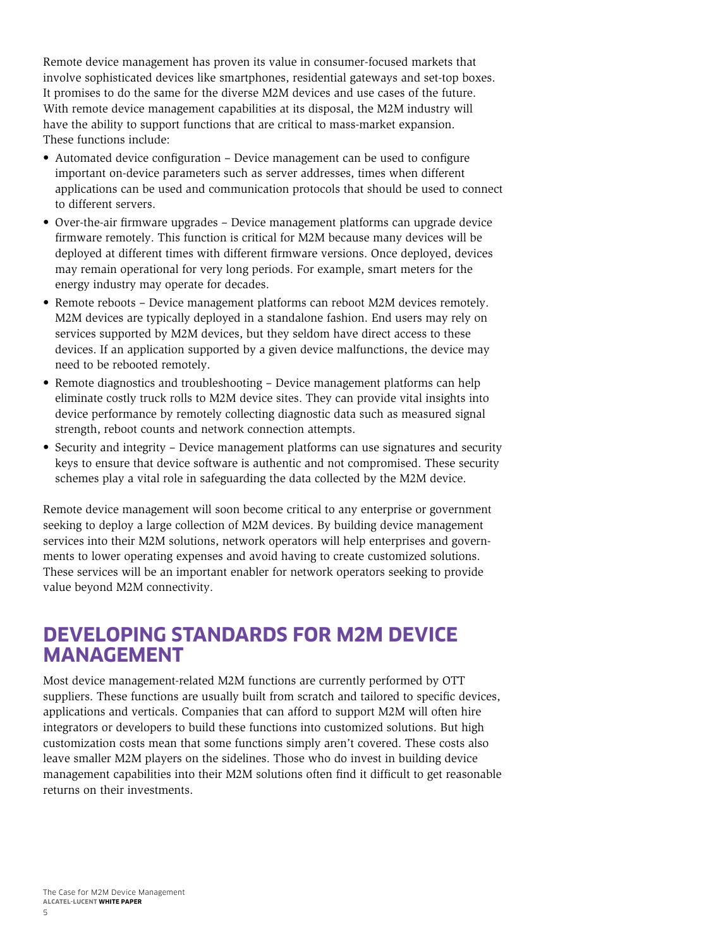<span id="page-6-0"></span>Remote device management has proven its value in consumer-focused markets that involve sophisticated devices like smartphones, residential gateways and set-top boxes. It promises to do the same for the diverse M2M devices and use cases of the future. With remote device management capabilities at its disposal, the M2M industry will have the ability to support functions that are critical to mass-market expansion. These functions include:

- Automated device configuration Device management can be used to configure important on-device parameters such as server addresses, times when different applications can be used and communication protocols that should be used to connect to different servers.
- Over-the-air firmware upgrades Device management platforms can upgrade device firmware remotely. This function is critical for M2M because many devices will be deployed at different times with different firmware versions. Once deployed, devices may remain operational for very long periods. For example, smart meters for the energy industry may operate for decades.
- Remote reboots Device management platforms can reboot M2M devices remotely. M2M devices are typically deployed in a standalone fashion. End users may rely on services supported by M2M devices, but they seldom have direct access to these devices. If an application supported by a given device malfunctions, the device may need to be rebooted remotely.
- Remote diagnostics and troubleshooting Device management platforms can help eliminate costly truck rolls to M2M device sites. They can provide vital insights into device performance by remotely collecting diagnostic data such as measured signal strength, reboot counts and network connection attempts.
- Security and integrity Device management platforms can use signatures and security keys to ensure that device software is authentic and not compromised. These security schemes play a vital role in safeguarding the data collected by the M2M device.

Remote device management will soon become critical to any enterprise or government seeking to deploy a large collection of M2M devices. By building device management services into their M2M solutions, network operators will help enterprises and governments to lower operating expenses and avoid having to create customized solutions. These services will be an important enabler for network operators seeking to provide value beyond M2M connectivity.

#### **DEVELOPING STANDARDS FOR M2M DEVICE MANAGEMENT**

Most device management-related M2M functions are currently performed by OTT suppliers. These functions are usually built from scratch and tailored to specific devices, applications and verticals. Companies that can afford to support M2M will often hire integrators or developers to build these functions into customized solutions. But high customization costs mean that some functions simply aren't covered. These costs also leave smaller M2M players on the sidelines. Those who do invest in building device management capabilities into their M2M solutions often find it difficult to get reasonable returns on their investments.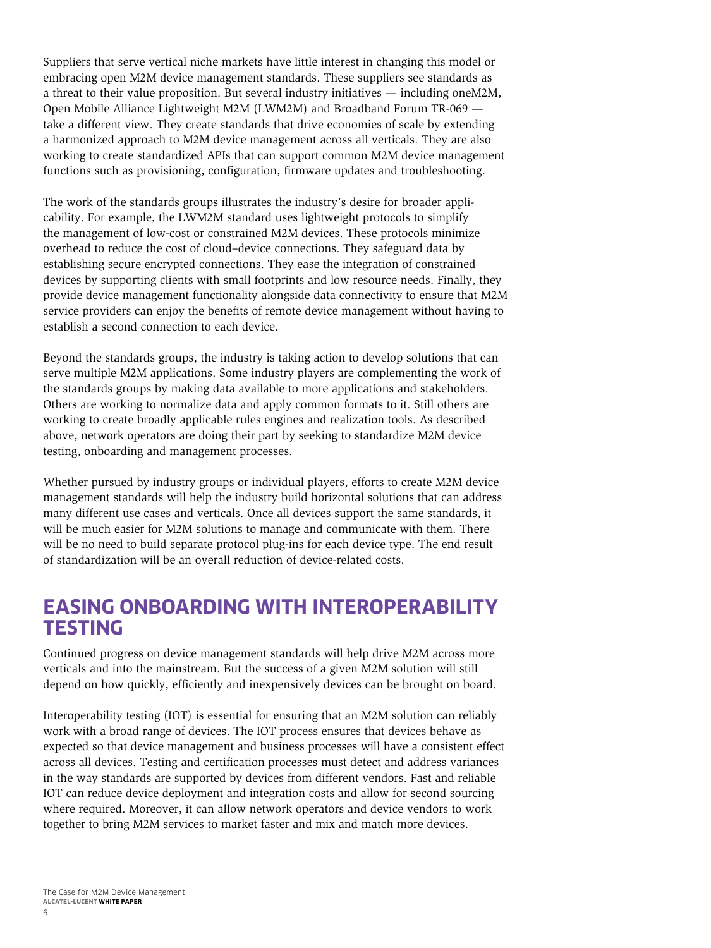<span id="page-7-0"></span>Suppliers that serve vertical niche markets have little interest in changing this model or embracing open M2M device management standards. These suppliers see standards as a threat to their value proposition. But several industry initiatives — including oneM2M, Open Mobile Alliance Lightweight M2M (LWM2M) and Broadband Forum TR-069 take a different view. They create standards that drive economies of scale by extending a harmonized approach to M2M device management across all verticals. They are also working to create standardized APIs that can support common M2M device management functions such as provisioning, configuration, firmware updates and troubleshooting.

The work of the standards groups illustrates the industry's desire for broader applicability. For example, the LWM2M standard uses lightweight protocols to simplify the management of low-cost or constrained M2M devices. These protocols minimize overhead to reduce the cost of cloud–device connections. They safeguard data by establishing secure encrypted connections. They ease the integration of constrained devices by supporting clients with small footprints and low resource needs. Finally, they provide device management functionality alongside data connectivity to ensure that M2M service providers can enjoy the benefits of remote device management without having to establish a second connection to each device.

Beyond the standards groups, the industry is taking action to develop solutions that can serve multiple M2M applications. Some industry players are complementing the work of the standards groups by making data available to more applications and stakeholders. Others are working to normalize data and apply common formats to it. Still others are working to create broadly applicable rules engines and realization tools. As described above, network operators are doing their part by seeking to standardize M2M device testing, onboarding and management processes.

Whether pursued by industry groups or individual players, efforts to create M2M device management standards will help the industry build horizontal solutions that can address many different use cases and verticals. Once all devices support the same standards, it will be much easier for M2M solutions to manage and communicate with them. There will be no need to build separate protocol plug-ins for each device type. The end result of standardization will be an overall reduction of device-related costs.

#### **EASING ONBOARDING WITH INTEROPERABILITY TESTING**

Continued progress on device management standards will help drive M2M across more verticals and into the mainstream. But the success of a given M2M solution will still depend on how quickly, efficiently and inexpensively devices can be brought on board.

Interoperability testing (IOT) is essential for ensuring that an M2M solution can reliably work with a broad range of devices. The IOT process ensures that devices behave as expected so that device management and business processes will have a consistent effect across all devices. Testing and certification processes must detect and address variances in the way standards are supported by devices from different vendors. Fast and reliable IOT can reduce device deployment and integration costs and allow for second sourcing where required. Moreover, it can allow network operators and device vendors to work together to bring M2M services to market faster and mix and match more devices.